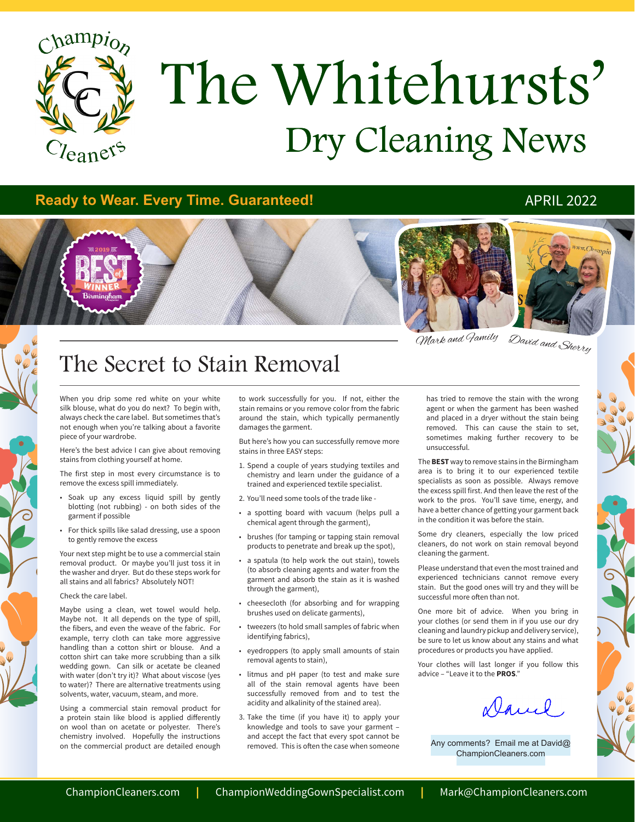

# Dry Cleaning News The Whitehursts'

# **Ready to Wear. Every Time. Guaranteed!** APRIL 2022



David and Sherry Mark and Family

# The Secret to Stain Removal

When you drip some red white on your white silk blouse, what do you do next? To begin with, always check the care label. But sometimes that's not enough when you're talking about a favorite piece of your wardrobe.

Here's the best advice I can give about removing stains from clothing yourself at home.

The first step in most every circumstance is to remove the excess spill immediately.

- • Soak up any excess liquid spill by gently blotting (not rubbing) - on both sides of the garment if possible
- • For thick spills like salad dressing, use a spoon to gently remove the excess

Your next step might be to use a commercial stain removal product. Or maybe you'll just toss it in the washer and dryer. But do these steps work for all stains and all fabrics? Absolutely NOT!

#### Check the care label.

Maybe using a clean, wet towel would help. Maybe not. It all depends on the type of spill, the fibers, and even the weave of the fabric. For example, terry cloth can take more aggressive handling than a cotton shirt or blouse. And a cotton shirt can take more scrubbing than a silk wedding gown. Can silk or acetate be cleaned with water (don't try it)? What about viscose (yes to water)? There are alternative treatments using solvents, water, vacuum, steam, and more.

Using a commercial stain removal product for a protein stain like blood is applied differently on wool than on acetate or polyester. There's chemistry involved. Hopefully the instructions on the commercial product are detailed enough

to work successfully for you. If not, either the stain remains or you remove color from the fabric around the stain, which typically permanently damages the garment.

But here's how you can successfully remove more stains in three EASY steps:

- 1. Spend a couple of years studying textiles and chemistry and learn under the guidance of a trained and experienced textile specialist.
- 2. You'll need some tools of the trade like -
- • a spotting board with vacuum (helps pull a chemical agent through the garment),
- brushes (for tamping or tapping stain removal products to penetrate and break up the spot),
- • a spatula (to help work the out stain), towels (to absorb cleaning agents and water from the garment and absorb the stain as it is washed through the garment),
- cheesecloth (for absorbing and for wrapping brushes used on delicate garments),
- tweezers (to hold small samples of fabric when identifying fabrics),
- • eyedroppers (to apply small amounts of stain removal agents to stain),
- • litmus and pH paper (to test and make sure all of the stain removal agents have been successfully removed from and to test the acidity and alkalinity of the stained area).
- 3. Take the time (if you have it) to apply your knowledge and tools to save your garment – and accept the fact that every spot cannot be removed. This is often the case when someone

has tried to remove the stain with the wrong agent or when the garment has been washed and placed in a dryer without the stain being removed. This can cause the stain to set, sometimes making further recovery to be unsuccessful.

The **BEST** way to remove stains in the Birmingham area is to bring it to our experienced textile specialists as soon as possible. Always remove the excess spill first. And then leave the rest of the work to the pros. You'll save time, energy, and have a better chance of getting your garment back in the condition it was before the stain.

Some dry cleaners, especially the low priced cleaners, do not work on stain removal beyond cleaning the garment.

Please understand that even the most trained and experienced technicians cannot remove every stain. But the good ones will try and they will be successful more often than not.

One more bit of advice. When you bring in your clothes (or send them in if you use our dry cleaning and laundry pickup and delivery service), be sure to let us know about any stains and what procedures or products you have applied.

Your clothes will last longer if you follow this advice – "Leave it to the **PROS**."

Daniel

Any comments? Email me at David@ ChampionCleaners.com

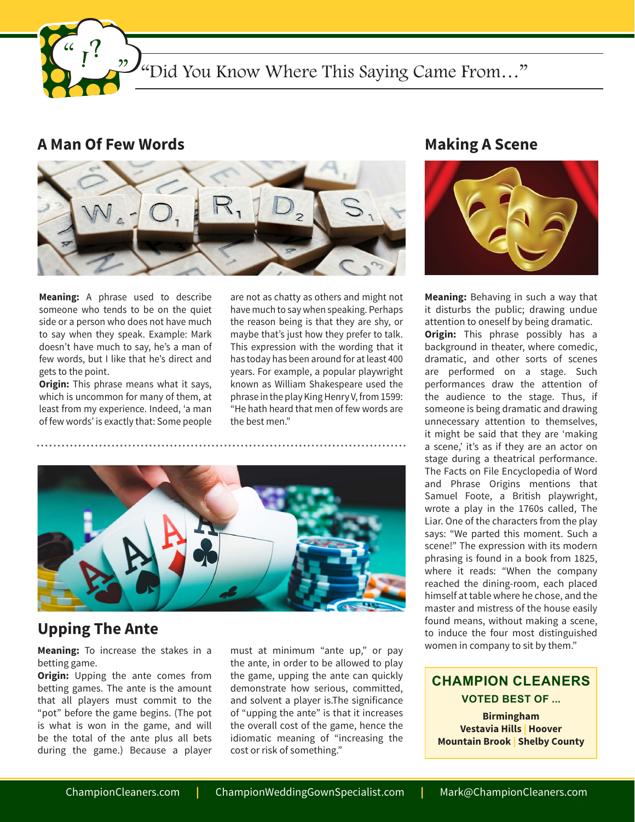"Did You Know Where This Saying Came From..."

# **A Man Of Few Words**

 $22<sub>1</sub>$ 



**Meaning:** A phrase used to describe someone who tends to be on the quiet side or a person who does not have much to say when they speak. Example: Mark doesn't have much to say, he's a man of few words, but I like that he's direct and gets to the point.

**Origin:** This phrase means what it says, which is uncommon for many of them, at least from my experience. Indeed, 'a man of few words' is exactly that: Some people are not as chatty as others and might not have much to say when speaking. Perhaps the reason being is that they are shy, or maybe that's just how they prefer to talk. This expression with the wording that it has today has been around for at least 400 years. For example, a popular playwright known as William Shakespeare used the phrase in the play King Henry V, from 1599: "He hath heard that men of few words are the best men."



# **Upping The Ante**

**Meaning:** To increase the stakes in a betting game.

**Origin:** Upping the ante comes from betting games. The ante is the amount that all players must commit to the "pot" before the game begins. (The pot is what is won in the game, and will be the total of the ante plus all bets during the game.) Because a player

must at minimum "ante up," or pay the ante, in order to be allowed to play the game, upping the ante can quickly demonstrate how serious, committed, and solvent a player is.The significance of "upping the ante" is that it increases the overall cost of the game, hence the idiomatic meaning of "increasing the cost or risk of something."

# **Making A Scene**



**Meaning:** Behaving in such a way that it disturbs the public; drawing undue attention to oneself by being dramatic. **Origin:** This phrase possibly has a background in theater, where comedic, dramatic, and other sorts of scenes are performed on a stage. Such performances draw the attention of the audience to the stage. Thus, if someone is being dramatic and drawing unnecessary attention to themselves, it might be said that they are 'making a scene,' it's as if they are an actor on stage during a theatrical performance. The Facts on File Encyclopedia of Word and Phrase Origins mentions that Samuel Foote, a British playwright, wrote a play in the 1760s called, The Liar. One of the characters from the play says: "We parted this moment. Such a scene!" The expression with its modern phrasing is found in a book from 1825, where it reads: "When the company reached the dining-room, each placed himself at table where he chose, and the master and mistress of the house easily found means, without making a scene, to induce the four most distinguished women in company to sit by them."

**CHAMPION CLEANERS VOTED BEST OF ...**

**Birmingham Vestavia Hills | Hoover Mountain Brook | Shelby County**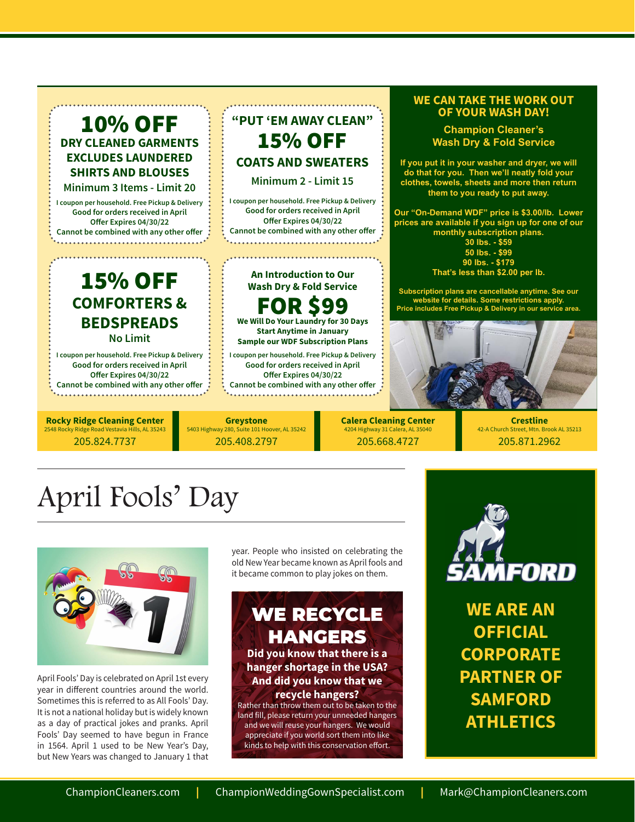# 10% OFF **DRY CLEANED GARMENTS EXCLUDES LAUNDERED SHIRTS AND BLOUSES**

**Minimum 3 Items - Limit 20**

**I coupon per household. Free Pickup & Delivery Good for orders received in April Offer Expires 04/30/22 Cannot be combined with any other offer**

# 15% OFF **COMFORTERS & BEDSPREADS No Limit**

**I coupon per household. Free Pickup & Delivery Good for orders received in April Offer Expires 04/30/22 Cannot be combined with any other offer** . . . . . . . . . . . . . . . . . .

**Rocky Ridge Cleaning Center**  v Ridge Road Vestavia Hills, AL 35243 205.824.7737

# **"PUT 'EM AWAY CLEAN"** 15% OFF **COATS AND SWEATERS Minimum 2 - Limit 15**

**I coupon per household. Free Pickup & Delivery Good for orders received in April Offer Expires 04/30/22 Cannot be combined with any other offer**

# **An Introduction to Our Wash Dry & Fold Service** FOR \$99

**We Will Do Your Laundry for 30 Days Start Anytime in January Sample our WDF Subscription Plans**

**I coupon per household. Free Pickup & Delivery Good for orders received in April Offer Expires 04/30/22 Cannot be combined with any other offer**

**Greystone** 5403 Highway 280, Suite 101 Hoover, AL 35242 205.408.2797

**Calera Cleaning Center** 4204 Highway 31 Calera, AL 350 205.668.4727

### **WE CAN TAKE THE WORK OUT OF YOUR WASH DAY!**

**Champion Cleaner's Wash Dry & Fold Service**

**If you put it in your washer and dryer, we will do that for you. Then we'll neatly fold your clothes, towels, sheets and more then return them to you ready to put away.** 

**Our "On-Demand WDF" price is \$3.00/lb. Lower prices are available if you sign up for one of our monthly subscription plans. 30 lbs. - \$59**

**50 lbs. - \$99 90 lbs. - \$179 That's less than \$2.00 per lb.** 

**Subscription plans are cancellable anytime. See our website for details. Some restrictions apply. Price includes Free Pickup & Delivery in our service area.**



**Crestline**  42-A Church Street, Mtn. Brook AL 35213 205.871.2962

# April Fools' Day



April Fools' Day is celebrated on April 1st every year in different countries around the world. Sometimes this is referred to as All Fools' Day. It is not a national holiday but is widely known as a day of practical jokes and pranks. April Fools' Day seemed to have begun in France in 1564. April 1 used to be New Year's Day, but New Years was changed to January 1 that year. People who insisted on celebrating the old New Year became known as April fools and it became common to play jokes on them.

# WE RECYCLE HANGERS **Did you know that there is a hanger shortage in the USA? And did you know that we recycle hangers?**

Rather than throw them out to be taken to the land fill, please return your unneeded hangers and we will reuse your hangers. We would appreciate if you world sort them into like kinds to help with this conservation effort.



**WE ARE AN OFFICIAL CORPORATE PARTNER OF SAMFORD ATHLETICS**